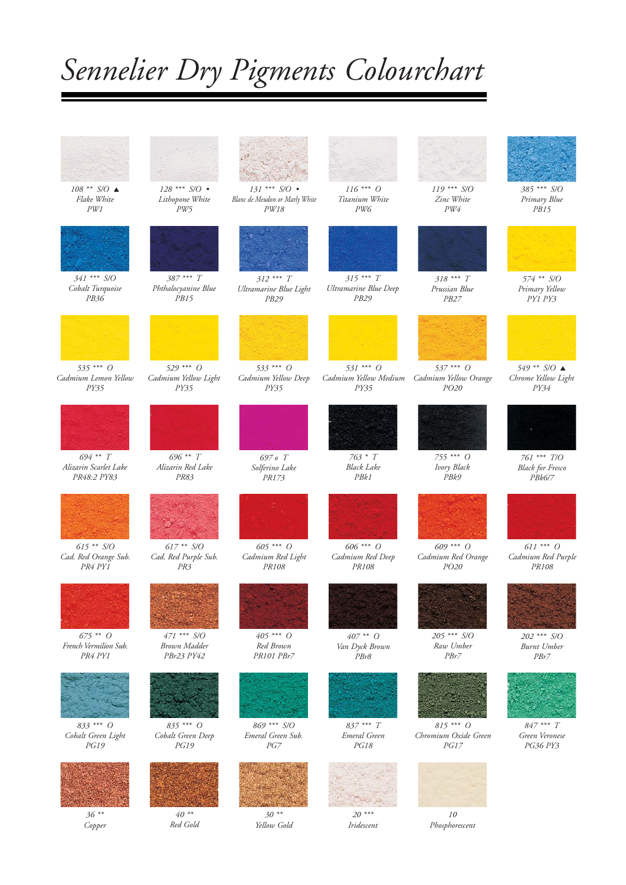## *Sennelier Dry Pigments Colourchart*



*108 \*\* S/O* ▲ *Flake White PW1*



*341 \*\*\* S/O Cobalt Turquoise PB36*



*535 \*\*\* O Cadmium Lemon Yellow PY35*



*694 \*\* T Alizarin Scarlet Lake PR48:2 PY83*



*615 \*\* S/O Cad. Red Orange Sub. PR4 PY1*



*675 \*\* O French Vermilion Sub. PR4 PY1*



*833 \*\*\* O Cobalt Green Light PG19*



*36 \*\* Copper* 



*128 \*\*\* S/O • Lithopone White PW5*



*387 \*\*\* T Phthalocyanine Blue PB15*

*529 \*\*\* O*

*Cadmium Yellow Light PY35*



*696 \*\* T Alizarin Red Lake PR83*



*617 \*\* S/O Cad. Red Purple Sub. PR3*



*471 \*\*\* S/O Brown Madder PBr23 PY42*



*835 \*\*\* O Cobalt Green Deep PG19*



*40 \*\* Red Gold*



*131 \*\*\* S/O • Blanc de Meudon or Marly White PW18*



*312 \*\*\* T Ultramarine Blue Light PB29*



*Cadmium Yellow Deep PY35*



*Solferino Lake PR173*



*605 \*\*\* O Cadmium Red Light PR108*



*Red Brown PR101 PBr7*



*869 \*\*\* S/O Emeral Green Sub. PG7*



*30 \*\* Yellow Gold*



*116 \*\*\* O Titanium White PW6*



*315 \*\*\* T Ultramarine Blue Deep PB29*



*Cadmium Yellow Medium Cadmium Yellow Orange PY35*



*763 \* T Black Lake PBk1*



*606 \*\*\* O Cadmium Red Deep PR108*



*407 \*\* O Van Dyck Brown PBr8*



*837 \*\*\* T Emeral Green*



*20 \*\*\* Iridescent*



*119 \*\*\* S/O Zinc White PW4*



*318 \*\*\* T Prussian Blue PB27*



*537 \*\*\* O PO20*



*755 \*\*\* O Ivory Black PBk9*



*Cadmium Red Orange PO20*



*205 \*\*\* S/O Raw Umber PBr7*



*Chromium Oxide Green PG17*



*10 Phosphorescent*



*385 \*\*\* S/O Primary Blue PB15*



*574 \*\* S/O Primary Yellow PY1 PY3*



*549 \*\* S/O* ▲ *Chrome Yellow Light PY34*



*761 \*\*\* T/O Black for Fresco PBk6/7*



*611 \*\*\* O Cadmium Red Purple PR108*



*202 \*\*\* S/O Burnt Umber PBr7*



*847 \*\*\* T Green Veronese PG36 PY3*







*PG18*